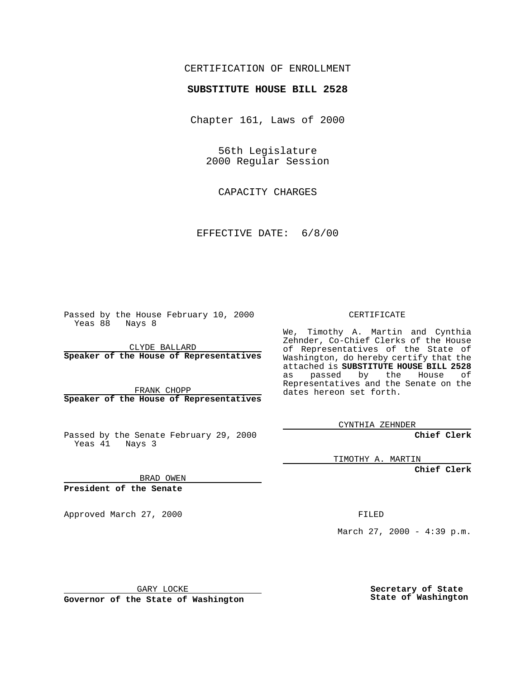## CERTIFICATION OF ENROLLMENT

## **SUBSTITUTE HOUSE BILL 2528**

Chapter 161, Laws of 2000

56th Legislature 2000 Regular Session

CAPACITY CHARGES

EFFECTIVE DATE: 6/8/00

Passed by the House February 10, 2000 Yeas 88 Nays 8

CLYDE BALLARD **Speaker of the House of Representatives**

FRANK CHOPP **Speaker of the House of Representatives**

Passed by the Senate February 29, 2000 Yeas 41 Nays 3

CERTIFICATE

We, Timothy A. Martin and Cynthia Zehnder, Co-Chief Clerks of the House of Representatives of the State of Washington, do hereby certify that the attached is **SUBSTITUTE HOUSE BILL 2528** as passed by the House of Representatives and the Senate on the dates hereon set forth.

CYNTHIA ZEHNDER

**Chief Clerk**

TIMOTHY A. MARTIN

**Chief Clerk**

BRAD OWEN

**President of the Senate**

Approved March 27, 2000 FILED

March 27, 2000 - 4:39 p.m.

GARY LOCKE

**Governor of the State of Washington**

**Secretary of State State of Washington**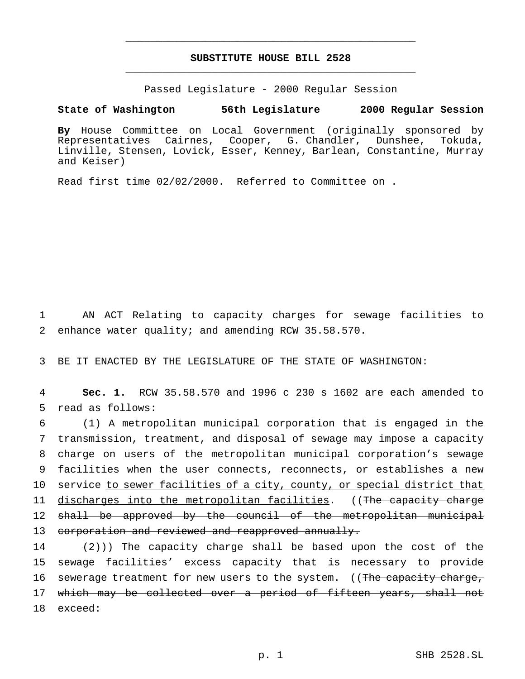## **SUBSTITUTE HOUSE BILL 2528** \_\_\_\_\_\_\_\_\_\_\_\_\_\_\_\_\_\_\_\_\_\_\_\_\_\_\_\_\_\_\_\_\_\_\_\_\_\_\_\_\_\_\_\_\_\_\_

\_\_\_\_\_\_\_\_\_\_\_\_\_\_\_\_\_\_\_\_\_\_\_\_\_\_\_\_\_\_\_\_\_\_\_\_\_\_\_\_\_\_\_\_\_\_\_

Passed Legislature - 2000 Regular Session

## **State of Washington 56th Legislature 2000 Regular Session**

**By** House Committee on Local Government (originally sponsored by Representatives Cairnes, Cooper, G. Chandler, Dunshee, Tokuda, Linville, Stensen, Lovick, Esser, Kenney, Barlean, Constantine, Murray and Keiser)

Read first time 02/02/2000. Referred to Committee on .

1 AN ACT Relating to capacity charges for sewage facilities to 2 enhance water quality; and amending RCW 35.58.570.

3 BE IT ENACTED BY THE LEGISLATURE OF THE STATE OF WASHINGTON:

4 **Sec. 1.** RCW 35.58.570 and 1996 c 230 s 1602 are each amended to 5 read as follows:

6 (1) A metropolitan municipal corporation that is engaged in the 7 transmission, treatment, and disposal of sewage may impose a capacity 8 charge on users of the metropolitan municipal corporation's sewage 9 facilities when the user connects, reconnects, or establishes a new 10 service to sewer facilities of a city, county, or special district that 11 discharges into the metropolitan facilities. ((The capacity charge 12 shall be approved by the council of the metropolitan municipal 13 corporation and reviewed and reapproved annually.

14  $(2)$ )) The capacity charge shall be based upon the cost of the 15 sewage facilities' excess capacity that is necessary to provide 16 sewerage treatment for new users to the system. ((The capacity charge, 17 which may be collected over a period of fifteen years, shall not  $18$  exceed: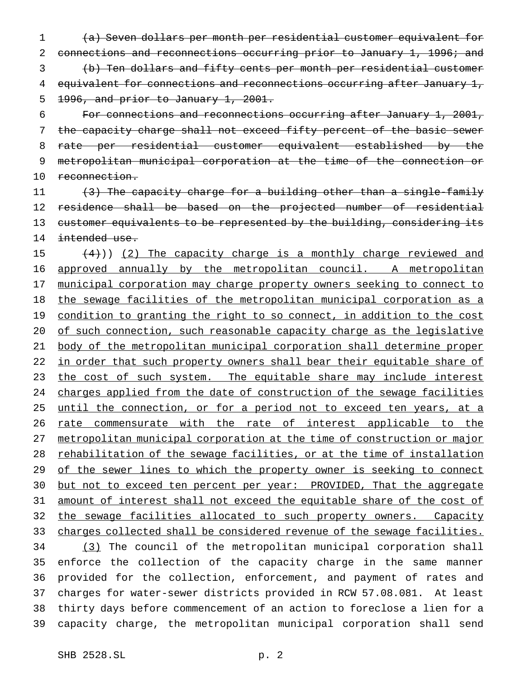(a) Seven dollars per month per residential customer equivalent for connections and reconnections occurring prior to January 1, 1996; and (b) Ten dollars and fifty cents per month per residential customer 4 equivalent for connections and reconnections occurring after January 1, 1996, and prior to January 1, 2001.

 For connections and reconnections occurring after January 1, 2001, the capacity charge shall not exceed fifty percent of the basic sewer rate per residential customer equivalent established by the metropolitan municipal corporation at the time of the connection or 10 reconnection.

11  $(3)$  The capacity charge for a building other than a single-family 12 residence shall be based on the projected number of residential 13 customer equivalents to be represented by the building, considering its 14 intended use.

15  $(4)$ )) (2) The capacity charge is a monthly charge reviewed and 16 approved annually by the metropolitan council. A metropolitan 17 municipal corporation may charge property owners seeking to connect to 18 the sewage facilities of the metropolitan municipal corporation as a 19 condition to granting the right to so connect, in addition to the cost 20 of such connection, such reasonable capacity charge as the legislative 21 body of the metropolitan municipal corporation shall determine proper 22 in order that such property owners shall bear their equitable share of 23 the cost of such system. The equitable share may include interest 24 charges applied from the date of construction of the sewage facilities 25 until the connection, or for a period not to exceed ten years, at a 26 rate commensurate with the rate of interest applicable to the 27 metropolitan municipal corporation at the time of construction or major 28 rehabilitation of the sewage facilities, or at the time of installation 29 of the sewer lines to which the property owner is seeking to connect 30 but not to exceed ten percent per year: PROVIDED, That the aggregate 31 amount of interest shall not exceed the equitable share of the cost of 32 the sewage facilities allocated to such property owners. Capacity 33 charges collected shall be considered revenue of the sewage facilities. 34 (3) The council of the metropolitan municipal corporation shall 35 enforce the collection of the capacity charge in the same manner 36 provided for the collection, enforcement, and payment of rates and 37 charges for water-sewer districts provided in RCW 57.08.081. At least 38 thirty days before commencement of an action to foreclose a lien for a 39 capacity charge, the metropolitan municipal corporation shall send